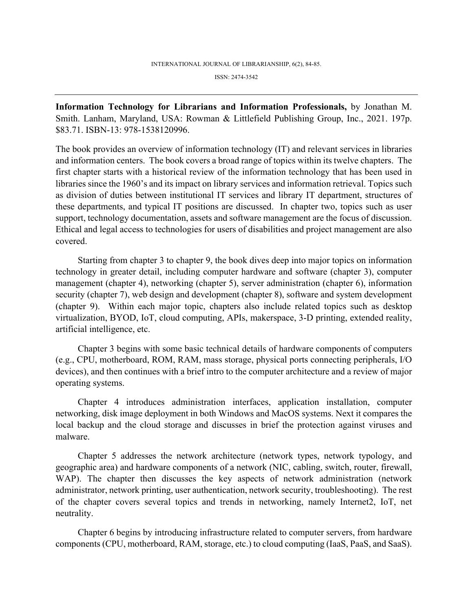ISSN: 2474-3542

**Information Technology for Librarians and Information Professionals,** by Jonathan M. Smith. Lanham, Maryland, USA: Rowman & Littlefield Publishing Group, Inc., 2021. 197p. \$83.71. ISBN-13: 978-1538120996.

The book provides an overview of information technology (IT) and relevant services in libraries and information centers. The book covers a broad range of topics within its twelve chapters. The first chapter starts with a historical review of the information technology that has been used in libraries since the 1960's and its impact on library services and information retrieval. Topics such as division of duties between institutional IT services and library IT department, structures of these departments, and typical IT positions are discussed. In chapter two, topics such as user support, technology documentation, assets and software management are the focus of discussion. Ethical and legal access to technologies for users of disabilities and project management are also covered.

Starting from chapter 3 to chapter 9, the book dives deep into major topics on information technology in greater detail, including computer hardware and software (chapter 3), computer management (chapter 4), networking (chapter 5), server administration (chapter 6), information security (chapter 7), web design and development (chapter 8), software and system development (chapter 9). Within each major topic, chapters also include related topics such as desktop virtualization, BYOD, IoT, cloud computing, APIs, makerspace, 3-D printing, extended reality, artificial intelligence, etc.

Chapter 3 begins with some basic technical details of hardware components of computers (e.g., CPU, motherboard, ROM, RAM, mass storage, physical ports connecting peripherals, I/O devices), and then continues with a brief intro to the computer architecture and a review of major operating systems.

Chapter 4 introduces administration interfaces, application installation, computer networking, disk image deployment in both Windows and MacOS systems. Next it compares the local backup and the cloud storage and discusses in brief the protection against viruses and malware.

Chapter 5 addresses the network architecture (network types, network typology, and geographic area) and hardware components of a network (NIC, cabling, switch, router, firewall, WAP). The chapter then discusses the key aspects of network administration (network administrator, network printing, user authentication, network security, troubleshooting). The rest of the chapter covers several topics and trends in networking, namely Internet2, IoT, net neutrality.

Chapter 6 begins by introducing infrastructure related to computer servers, from hardware components (CPU, motherboard, RAM, storage, etc.) to cloud computing (IaaS, PaaS, and SaaS).